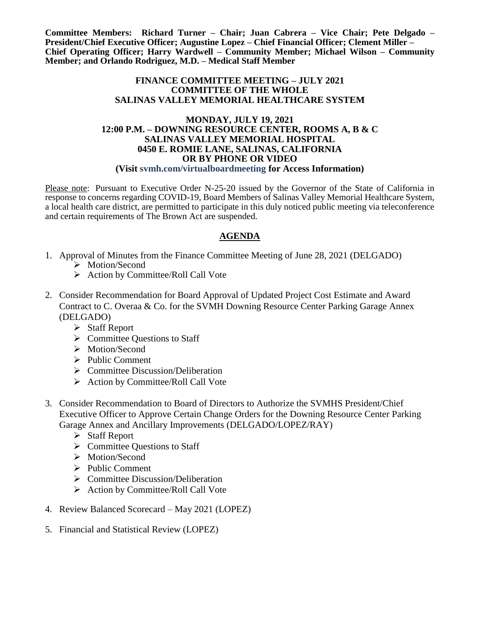**Committee Members: Richard Turner – Chair; Juan Cabrera – Vice Chair; Pete Delgado – President/Chief Executive Officer; Augustine Lopez – Chief Financial Officer; Clement Miller – Chief Operating Officer; Harry Wardwell – Community Member; Michael Wilson – Community Member; and Orlando Rodriguez, M.D. – Medical Staff Member**

## **FINANCE COMMITTEE MEETING – JULY 2021 COMMITTEE OF THE WHOLE SALINAS VALLEY MEMORIAL HEALTHCARE SYSTEM**

## **MONDAY, JULY 19, 2021 12:00 P.M. – DOWNING RESOURCE CENTER, ROOMS A, B & C SALINAS VALLEY MEMORIAL HOSPITAL 0450 E. ROMIE LANE, SALINAS, CALIFORNIA OR BY PHONE OR VIDEO (Visit svmh.com/virtualboardmeeting for Access Information)**

Please note: Pursuant to Executive Order N-25-20 issued by the Governor of the State of California in response to concerns regarding COVID-19, Board Members of Salinas Valley Memorial Healthcare System, a local health care district, are permitted to participate in this duly noticed public meeting via teleconference and certain requirements of The Brown Act are suspended.

## **AGENDA**

- 1. Approval of Minutes from the Finance Committee Meeting of June 28, 2021 (DELGADO)
	- > Motion/Second
	- $\triangleright$  Action by Committee/Roll Call Vote
- 2. Consider Recommendation for Board Approval of Updated Project Cost Estimate and Award Contract to C. Overaa & Co. for the SVMH Downing Resource Center Parking Garage Annex (DELGADO)
	- $\triangleright$  Staff Report
	- $\triangleright$  Committee Questions to Staff
	- > Motion/Second
	- $\triangleright$  Public Comment
	- $\triangleright$  Committee Discussion/Deliberation
	- $\triangleright$  Action by Committee/Roll Call Vote
- 3. Consider Recommendation to Board of Directors to Authorize the SVMHS President/Chief Executive Officer to Approve Certain Change Orders for the Downing Resource Center Parking Garage Annex and Ancillary Improvements (DELGADO/LOPEZ/RAY)
	- $\triangleright$  Staff Report
	- $\triangleright$  Committee Questions to Staff
	- > Motion/Second
	- $\triangleright$  Public Comment
	- $\triangleright$  Committee Discussion/Deliberation
	- $\triangleright$  Action by Committee/Roll Call Vote
- 4. Review Balanced Scorecard May 2021 (LOPEZ)
- 5. Financial and Statistical Review (LOPEZ)